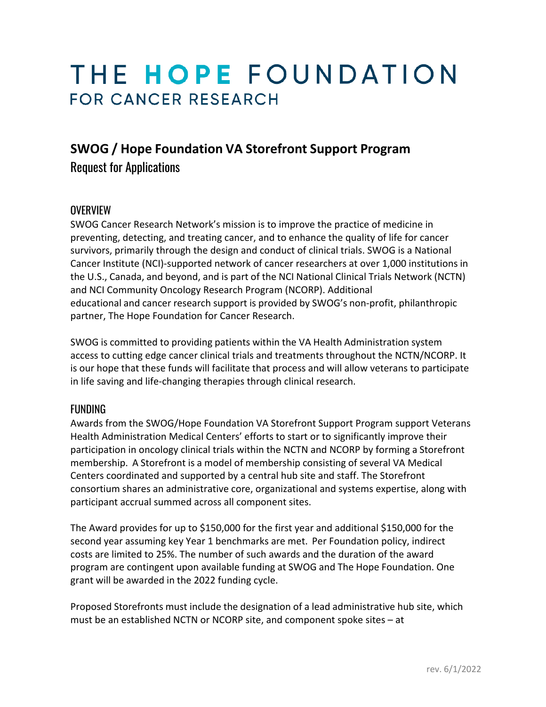# THE HOPE FOUNDATION **FOR CANCER RESEARCH**

# **SWOG / Hope Foundation VA Storefront Support Program**

Request for Applications

# **OVERVIEW**

SWOG Cancer Research Network's mission is to improve the practice of medicine in preventing, detecting, and treating cancer, and to enhance the quality of life for cancer survivors, primarily through the design and conduct of clinical trials. SWOG is a National Cancer Institute (NCI)-supported network of cancer researchers at over 1,000 institutions in the U.S., Canada, and beyond, and is part of the NCI National Clinical Trials Network (NCTN) and NCI Community Oncology Research Program (NCORP). Additional educational and cancer research support is provided by SWOG's non-profit, philanthropic partner, The Hope Foundation for Cancer Research.

SWOG is committed to providing patients within the VA Health Administration system access to cutting edge cancer clinical trials and treatments throughout the NCTN/NCORP. It is our hope that these funds will facilitate that process and will allow veterans to participate in life saving and life-changing therapies through clinical research.

# FUNDING

Awards from the SWOG/Hope Foundation VA Storefront Support Program support Veterans Health Administration Medical Centers' efforts to start or to significantly improve their participation in oncology clinical trials within the NCTN and NCORP by forming a Storefront membership. A Storefront is a model of membership consisting of several VA Medical Centers coordinated and supported by a central hub site and staff. The Storefront consortium shares an administrative core, organizational and systems expertise, along with participant accrual summed across all component sites.

The Award provides for up to \$150,000 for the first year and additional \$150,000 for the second year assuming key Year 1 benchmarks are met. Per Foundation policy, indirect costs are limited to 25%. The number of such awards and the duration of the award program are contingent upon available funding at SWOG and The Hope Foundation. One grant will be awarded in the 2022 funding cycle.

Proposed Storefronts must include the designation of a lead administrative hub site, which must be an established NCTN or NCORP site, and component spoke sites – at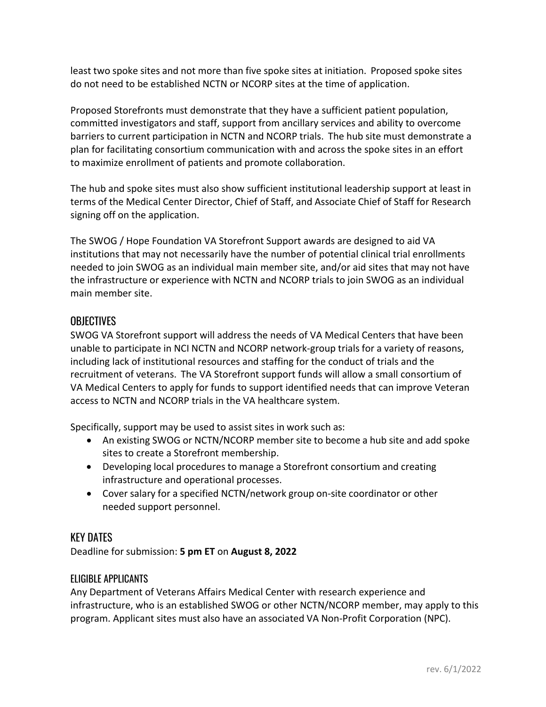least two spoke sites and not more than five spoke sites at initiation. Proposed spoke sites do not need to be established NCTN or NCORP sites at the time of application.

Proposed Storefronts must demonstrate that they have a sufficient patient population, committed investigators and staff, support from ancillary services and ability to overcome barriers to current participation in NCTN and NCORP trials. The hub site must demonstrate a plan for facilitating consortium communication with and across the spoke sites in an effort to maximize enrollment of patients and promote collaboration.

The hub and spoke sites must also show sufficient institutional leadership support at least in terms of the Medical Center Director, Chief of Staff, and Associate Chief of Staff for Research signing off on the application.

The SWOG / Hope Foundation VA Storefront Support awards are designed to aid VA institutions that may not necessarily have the number of potential clinical trial enrollments needed to join SWOG as an individual main member site, and/or aid sites that may not have the infrastructure or experience with NCTN and NCORP trials to join SWOG as an individual main member site.

# **OBJECTIVES**

SWOG VA Storefront support will address the needs of VA Medical Centers that have been unable to participate in NCI NCTN and NCORP network-group trials for a variety of reasons, including lack of institutional resources and staffing for the conduct of trials and the recruitment of veterans. The VA Storefront support funds will allow a small consortium of VA Medical Centers to apply for funds to support identified needs that can improve Veteran access to NCTN and NCORP trials in the VA healthcare system.

Specifically, support may be used to assist sites in work such as:

- An existing SWOG or NCTN/NCORP member site to become a hub site and add spoke sites to create a Storefront membership.
- Developing local procedures to manage a Storefront consortium and creating infrastructure and operational processes.
- Cover salary for a specified NCTN/network group on-site coordinator or other needed support personnel.

#### KEY DATES

Deadline for submission: **5 pm ET** on **August 8, 2022**

#### ELIGIBLE APPLICANTS

Any Department of Veterans Affairs Medical Center with research experience and infrastructure, who is an established SWOG or other NCTN/NCORP member, may apply to this program. Applicant sites must also have an associated VA Non-Profit Corporation (NPC).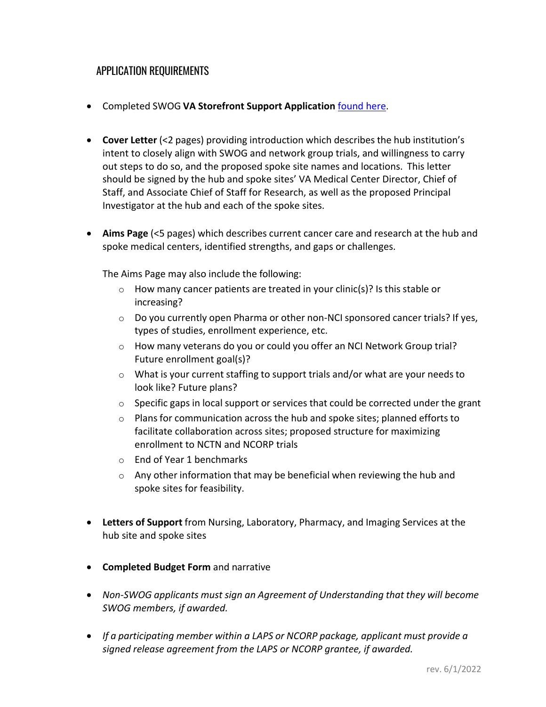# APPLICATION REQUIREMENTS

- Completed SWOG **VA Storefront Support Application** [found here.](https://thehopefoundation.org/funding-opportunities/va-integration-support-program/)
- **Cover Letter** (<2 pages) providing introduction which describes the hub institution's intent to closely align with SWOG and network group trials, and willingness to carry out steps to do so, and the proposed spoke site names and locations. This letter should be signed by the hub and spoke sites' VA Medical Center Director, Chief of Staff, and Associate Chief of Staff for Research, as well as the proposed Principal Investigator at the hub and each of the spoke sites.
- **Aims Page** (<5 pages) which describes current cancer care and research at the hub and spoke medical centers, identified strengths, and gaps or challenges.

The Aims Page may also include the following:

- o How many cancer patients are treated in your clinic(s)? Is this stable or increasing?
- $\circ$  Do you currently open Pharma or other non-NCI sponsored cancer trials? If yes, types of studies, enrollment experience, etc.
- $\circ$  How many veterans do you or could you offer an NCI Network Group trial? Future enrollment goal(s)?
- $\circ$  What is your current staffing to support trials and/or what are your needs to look like? Future plans?
- $\circ$  Specific gaps in local support or services that could be corrected under the grant
- $\circ$  Plans for communication across the hub and spoke sites; planned efforts to facilitate collaboration across sites; proposed structure for maximizing enrollment to NCTN and NCORP trials
- o End of Year 1 benchmarks
- $\circ$  Any other information that may be beneficial when reviewing the hub and spoke sites for feasibility.
- **Letters of Support** from Nursing, Laboratory, Pharmacy, and Imaging Services at the hub site and spoke sites
- **Completed Budget Form** and narrative
- *Non-SWOG applicants must sign an Agreement of Understanding that they will become SWOG members, if awarded.*
- *If a participating member within a LAPS or NCORP package, applicant must provide a signed release agreement from the LAPS or NCORP grantee, if awarded.*